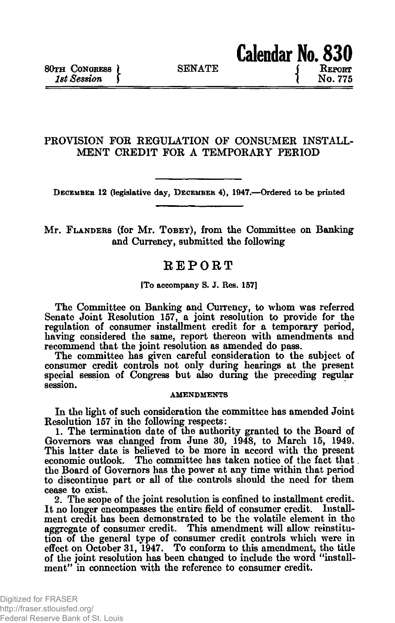## **PROVISION FOE REGULATION OF CONSUMER INSTALL-MENT CREDIT FOR A TEMPORARY PERIOD**

**DECEMBER 12 (legislative day, DECEMBER 4), 1947.—Ordered to be printed**

## **Mr. FLANDERS (for Mr. TOBEY), from the Committee on Banking and Currency, submitted the following**

# **REPORT**

**[To accompany S. J. Res. 157]**

**The Committee on Banking and Currency, to whom was referred Senate Joint Resolution 157, a joint resolution to provide for the regulation of consumer installment credit for a temporary period, having considered the same, report thereon with amendments and recommend that the joint resolution as amended do pass.**

**The committee has given careful consideration to the subject of consumer credit controls not only during hearings at the present special session of Congress but also during the preceding regular session.**

### **AMENDMENTS**

**In the light of such consideration the committee has amended Joint Resolution 157 in the following respects:**

**1. The termination date of the authority granted to the Board of Governors was changed from June 30, 1948, to March 15, 1949. This latter date is believed to be more in accord with the present economic outlook. The committee has taken notice of the fact that. the Board of Governors has the power at any time within that period to discontinue part or all of the controls should the need for them cease to exist.**

**2. The scope of the joint resolution is confined to installment credit. It no longer encompasses the entire field of consumer credit. Installment credit has been demonstrated to be the volatile element in the aggregate of consumer credit. This amendment will allow reinstitution of the general type of consumer credit controls which were in effect on October 31, 1947. To conform to this amendment, the title of the joint resolution has been changed to include the word "installment" in connection with the reference to consumer credit.**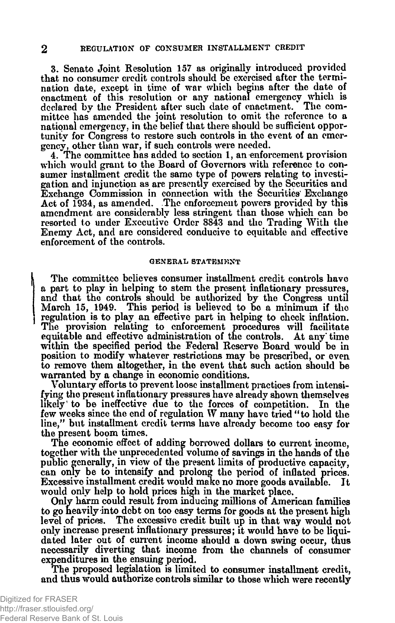**3. Senate Joint Resolution 157 as originally introduced provided that no consumer credit controls should be exercised after the termination date, except in time of war which begins after the date of enactment of this resolution or any national emergency which is declared by the President after such date of enactment. The committee has amended the joint resolution to omit the reference to a national emergency., in the belief that there should be sufficient opportunity for Congress to restore such controls in the event of an emergency, other than war, if such controls were needed.**

**4. The committee has added to section 1, an enforcement provision which would grant to the Board of Governors with reference to consumer installment credit the same type of powers relating to investigation and injunction as are presently exercised by the Securities and Exchange Commission in connection with the Securities Exchange Act of 1934, as amended. The enforcement powers provided by this amendment are considerably less stringent than those which can be resorted to under Executive Order 8343 and the Trading With the Enemy Act, and are considered conducive to equitable and effective enforcement of the controls.**

#### **GENERAL STATEMENT**

**The committee believes consumer installment credit controls have a part to play in helping to stem the present inflationary pressures, and that the controls should be authorized by the Congress until March 15, 1949. This period is believed to be a minimum if the regulation is to play an effective part in helping: to check inflation. The provision relating to enforcement procedures will facilitate equitable and effective administration of the controls. At any' time within the specified period the Federal Reserve Board would\* be in position to modify whatever restrictions may be prescribed, or even to remove them altogether, in the event that such action should be warranted by a change in economic conditions.**

**Voluntary efforts to prevent loose installment practices from intensifying the present inflationary pressures have already shown themselves likely<sup>1</sup> to be ineffective due to the forces of competition. In the few weeks since the end of regulation W many have tried "to hold the line," but installment credit terms have already become too easy for the present boom times.**

**The economic effect of adding borrowed dollars to current income, together with the unprecedented volume of savings in the hands of the public generally, in view of the present limits of productive capacity, can only be to intensify and prolong the period of inflated prices. Excessive installment credit would make no more goods available. It would only help to hold prices high in the market place.**

**Only harm could result from inducing millions of American families to go heavily into debt on too easy terms for goods at the present high level of prices. The excessive credit built up in that way would not only increase present inflationary pressures; it would have to be liquidated later out of current income should a down swing occur, thus necessarily diverting that income from the channels of consumer expenditures in the ensuing period.**

**The proposed legislation is limited to consumer installment credit, and thus would authorize controls similar to those which were recently**